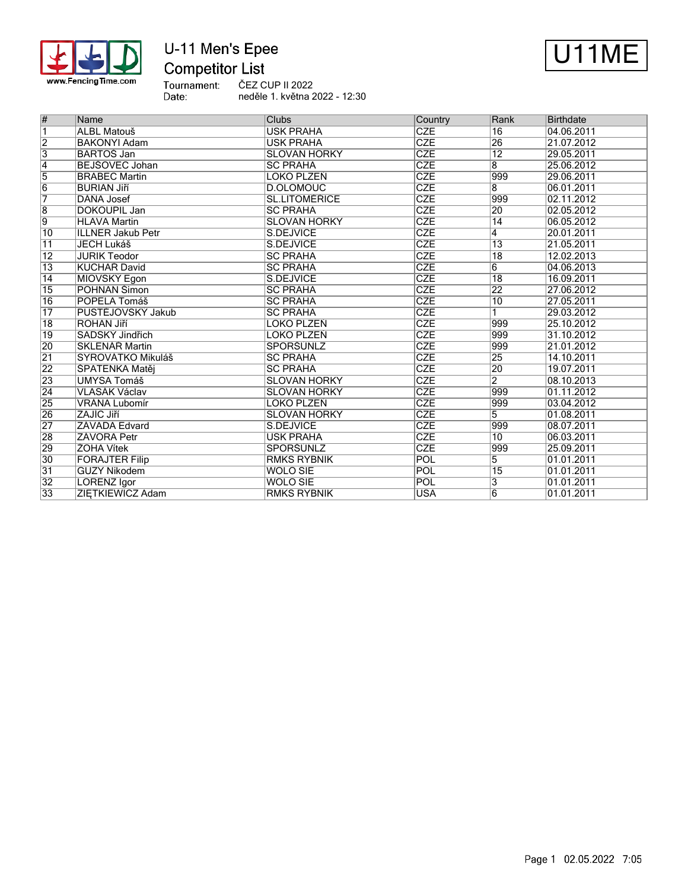

# U-11 Men's Epee **Competitor List**



Tournament:<br>Date: ČEZ CUP II 2022 neděle 1. května 2022 - 12:30

| #               | Name                     | <b>Clubs</b>         |            | Rank            | <b>Birthdate</b> |
|-----------------|--------------------------|----------------------|------------|-----------------|------------------|
| $\overline{1}$  | ALBL Matouš              | <b>USK PRAHA</b>     | <b>CZE</b> | $\overline{16}$ | 04.06.2011       |
| $\overline{2}$  | <b>BAKONYI Adam</b>      | <b>USK PRAHA</b>     | CZE        | 26              | 21.07.2012       |
| $\overline{3}$  | <b>BARTOS Jan</b>        | <b>SLOVAN HORKY</b>  | <b>CZE</b> | $\overline{12}$ | 29.05.2011       |
| $\overline{4}$  | BEJŠOVEC Johan           | <b>SC PRAHA</b>      | <b>CZE</b> | $\overline{8}$  | 25.06.2012       |
| $\overline{5}$  | <b>BRABEC Martin</b>     | <b>LOKO PLZEŇ</b>    | <b>CZE</b> | 999             | 29.06.2011       |
| $\overline{6}$  | <b>BURIAN Jiří</b>       | <b>D.OLOMOUC</b>     | CZE        | $\overline{8}$  | 06.01.2011       |
| 7               | DÁŇA Josef               | <b>SL.LITOMĚŘICE</b> | <b>CZE</b> | 999             | 02.11.2012       |
| $\overline{8}$  | DOKOUPIL Jan             | <b>SC PRAHA</b>      | CZE        | 20              | 02.05.2012       |
| 9               | <b>HLAVA Martin</b>      | <b>SLOVAN HORKY</b>  | <b>CZE</b> | 14              | 06.05.2012       |
| $\overline{10}$ | <b>ILLNER Jakub Petr</b> | S.DEJVICE            | CZE        | $\overline{4}$  | 20.01.2011       |
| $\overline{11}$ | <b>JECH Lukáš</b>        | S.DEJVICE            | <b>CZE</b> | $\overline{13}$ | 21.05.2011       |
| $\overline{12}$ | <b>JURIK Teodor</b>      | <b>SC PRAHA</b>      | <b>CZE</b> | $\overline{18}$ | 12.02.2013       |
| $\overline{13}$ | <b>KUCHAŘ David</b>      | <b>SC PRAHA</b>      | <b>CZE</b> | $\overline{6}$  | 04.06.2013       |
| 14              | MIOVSKÝ Egon             | S.DEJVICE            | CZE        | $\overline{18}$ | 16.09.2011       |
| $\overline{15}$ | <b>POHNAN Simon</b>      | <b>SC PRAHA</b>      | CZE        | $\overline{22}$ | 27.06.2012       |
| $\overline{16}$ | POPELA Tomáš             | <b>SC PRAHA</b>      | CZE        | $\overline{10}$ | 27.05.2011       |
| $\overline{17}$ | PUSTĚJOVSKÝ Jakub        | <b>SC PRAHA</b>      | <b>CZE</b> | 1               | 29.03.2012       |
| 18              | ROHAN Jiří               | LOKO PLZEŇ           | CZE        | 999             | 25.10.2012       |
| 19              | SADSKÝ Jindřich          | LOKO PLZEŇ           | CZE        | 999             | 31.10.2012       |
| 20              | <b>SKLENÁŘ Martin</b>    | <b>SPORŠÚNLZ</b>     | <b>CZE</b> | 999             | 21.01.2012       |
| $\overline{21}$ | SYROVÁTKO Mikuláš        | <b>SC PRAHA</b>      | <b>CZE</b> | 25              | 14.10.2011       |
| $\overline{22}$ | ŠPATENKA Matěj           | <b>SC PRAHA</b>      | <b>CZE</b> | 20              | 19.07.2011       |
| 23              | <b>UMYSA Tomáš</b>       | <b>SLOVAN HORKY</b>  | CZE        | $\overline{2}$  | 08.10.2013       |
| $\overline{24}$ | VLASÁK Václav            | <b>SLOVAN HORKY</b>  | CZE        | 999             | 01.11.2012       |
| 25              | VRÁNA Lubomír            | LOKO PLZEŇ           | CZE        | 999             | 03.04.2012       |
| 26              | ZAJÍC Jiří               | <b>SLOVAN HORKY</b>  | <b>CZE</b> | 5               | 01.08.2011       |
| 27              | ZÁVADA Edvard            | S.DEJVICE            | CZE        | 999             | 08.07.2011       |
| 28              | <b>ZÁVORA Petr</b>       | <b>USK PRAHA</b>     | <b>CZE</b> | $\overline{10}$ | 06.03.2011       |
| 29              | <b>ZOHA Vítek</b>        | <b>SPORŠÚNLZ</b>     | <b>CZE</b> | 999             | 25.09.2011       |
| 30              | <b>FORAJTER Filip</b>    | <b>RMKS RYBNIK</b>   | POL        | $\overline{5}$  | 01.01.2011       |
| 31              | <b>GUZY Nikodem</b>      | <b>WOLO SIE</b>      | POL        | $\overline{15}$ | 01.01.2011       |
| $\overline{32}$ | <b>LORENZ Igor</b>       | <b>WOLO SIE</b>      | POL        | 3               | 01.01.2011       |
| $\overline{33}$ | ZIETKIEWICZ Adam         | <b>RMKS RYBNIK</b>   | <b>USA</b> | $\overline{6}$  | 01.01.2011       |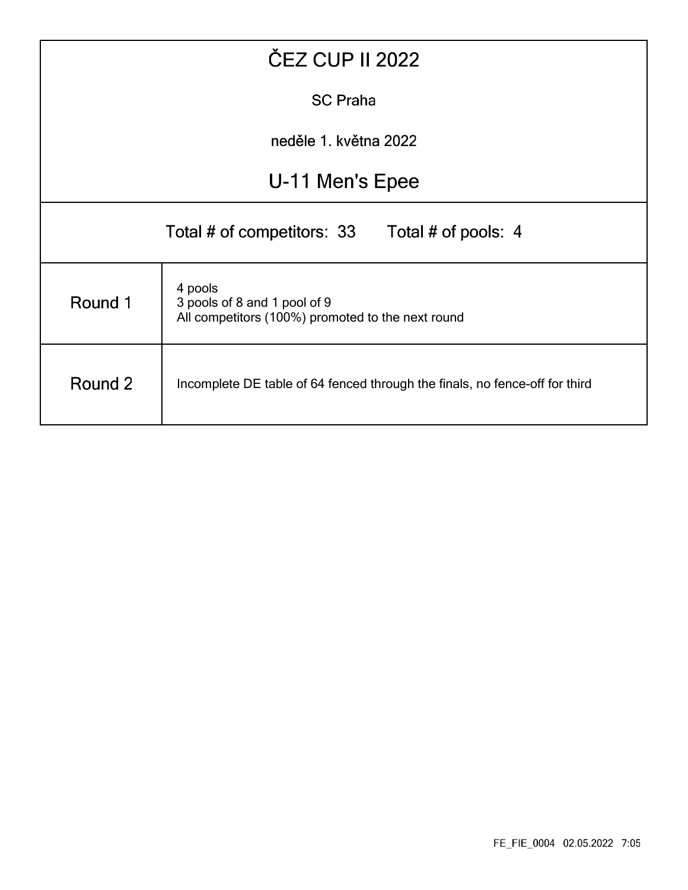|                                                                                                         | <b>ČEZ CUP II 2022</b>                            |  |  |  |  |  |  |  |  |
|---------------------------------------------------------------------------------------------------------|---------------------------------------------------|--|--|--|--|--|--|--|--|
| <b>SC Praha</b>                                                                                         |                                                   |  |  |  |  |  |  |  |  |
| neděle 1. května 2022                                                                                   |                                                   |  |  |  |  |  |  |  |  |
| U-11 Men's Epee                                                                                         |                                                   |  |  |  |  |  |  |  |  |
|                                                                                                         | Total # of competitors: 33<br>Total # of pools: 4 |  |  |  |  |  |  |  |  |
| 4 pools<br>Round 1<br>3 pools of 8 and 1 pool of 9<br>All competitors (100%) promoted to the next round |                                                   |  |  |  |  |  |  |  |  |
| Round 2<br>Incomplete DE table of 64 fenced through the finals, no fence-off for third                  |                                                   |  |  |  |  |  |  |  |  |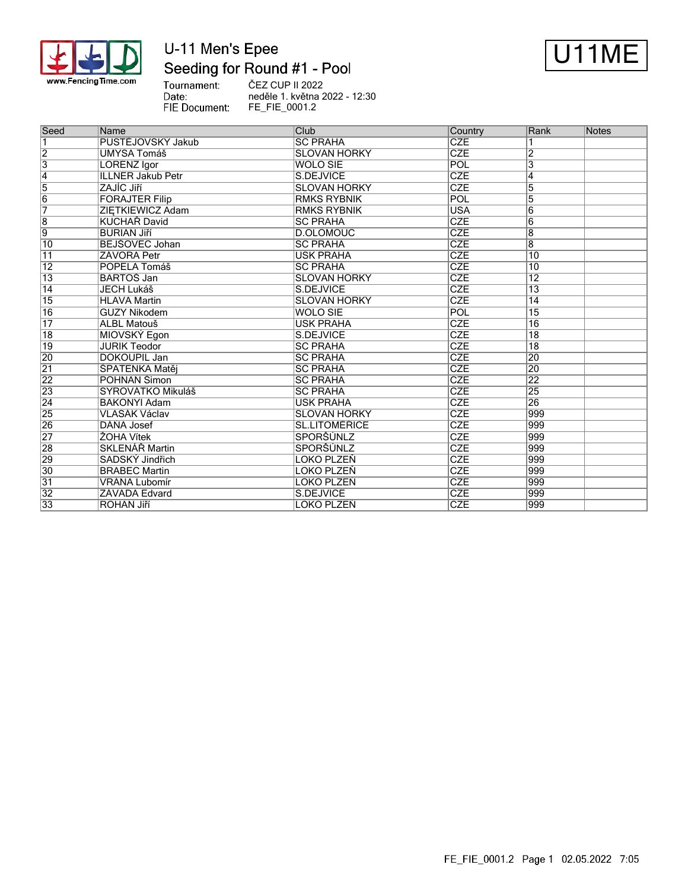

# U-11 Men's Epee Seeding for Round #1 - Pool



Tournament: ČEZ CUP II 2022 Date: neděle 1. května 2022 - 12:30 FIE Document: FE\_FIE\_0001.2

| Seed            | Name                     | Club                 | Country    | Rank                    | <b>Notes</b> |
|-----------------|--------------------------|----------------------|------------|-------------------------|--------------|
| $\overline{1}$  | PUSTĚJOVSKÝ Jakub        | <b>SC PRAHA</b>      | <b>CZE</b> |                         |              |
| $\overline{2}$  | <b>UMYSA Tomáš</b>       | <b>SLOVAN HORKY</b>  | <b>CZE</b> | $\overline{2}$          |              |
| $\overline{3}$  | <b>LORENZ Igor</b>       | WOLO SIE             | <b>POL</b> | $\overline{\mathbf{3}}$ |              |
| $\overline{4}$  | <b>ILLNER Jakub Petr</b> | S.DEJVICE            | <b>CZE</b> | 4                       |              |
| $\overline{5}$  | ZAJÍC Jiří               | <b>SLOVAN HORKY</b>  | <b>CZE</b> | 5                       |              |
| $\overline{6}$  | <b>FORAJTER Filip</b>    | <b>RMKS RYBNIK</b>   | POL        | 5                       |              |
| 7               | ZIETKIEWICZ Adam         | <b>RMKS RYBNIK</b>   | <b>USA</b> | 6                       |              |
| $\overline{8}$  | <b>KUCHAŘ David</b>      | <b>ISC PRAHA</b>     | <b>CZE</b> | $6\overline{6}$         |              |
| $\overline{9}$  | <b>BURIAN Jiří</b>       | D.OLOMOUC            | <b>CZE</b> | $\overline{8}$          |              |
| 10              | BEJŠOVEC Johan           | <b>SC PRAHA</b>      | <b>CZE</b> | 8                       |              |
| $\overline{11}$ | ZÁVORA Petr              | <b>USK PRAHA</b>     | <b>CZE</b> | $\overline{10}$         |              |
| $\overline{12}$ | POPELA Tomáš             | <b>SC PRAHA</b>      | <b>CZE</b> | 10                      |              |
| $\overline{13}$ | <b>BARTOS Jan</b>        | <b>SLOVAN HORKY</b>  | <b>CZE</b> | $\overline{12}$         |              |
| $\overline{14}$ | <b>JECH Lukáš</b>        | S.DEJVICE            | <b>CZE</b> | $\overline{13}$         |              |
| 15              | <b>HLAVA Martin</b>      | <b>SLOVAN HORKY</b>  | <b>CZE</b> | 14                      |              |
| $\overline{16}$ | <b>GUZY Nikodem</b>      | <b>WOLO SIE</b>      | POL        | 15                      |              |
| $\overline{17}$ | ALBL Matouš              | <b>USK PRAHA</b>     | CZE        | $\overline{16}$         |              |
| 18              | MIOVSKÝ Egon             | S.DEJVICE            | <b>CZE</b> | $\overline{18}$         |              |
| $\overline{19}$ | <b>JURIK Teodor</b>      | <b>ISC PRAHA</b>     | <b>CZE</b> | $\overline{18}$         |              |
| 20              | <b>DOKOUPIL Jan</b>      | <b>SC PRAHA</b>      | <b>CZE</b> | 20                      |              |
| $\overline{21}$ | ŠPATENKA Matěj           | <b>SC PRAHA</b>      | <b>CZE</b> | $\overline{20}$         |              |
| 22              | POHNAN Simon             | <b>SC PRAHA</b>      | <b>CZE</b> | 22                      |              |
| 23              | SYROVÁTKO Mikuláš        | <b>ISC PRAHA</b>     | <b>CZE</b> | 25                      |              |
| $\overline{24}$ | <b>BAKONYI Adam</b>      | <b>USK PRAHA</b>     | <b>CZE</b> | 26                      |              |
| 25              | <b>VLASÁK Václav</b>     | <b>SLOVAN HORKY</b>  | <b>CZE</b> | 999                     |              |
| 26              | DÁŇA Josef               | <b>SL.LITOMĚŘICE</b> | <b>CZE</b> | 999                     |              |
| 27              | ŽOHA Vítek               | <b>SPORŠÚNLZ</b>     | <b>CZE</b> | 999                     |              |
| 28              | SKLENÁŘ Martin           | SPORŠÚNLZ            | <b>CZE</b> | 999                     |              |
| 29              | SADSKÝ Jindřich          | LOKO PLZEŇ           | <b>CZE</b> | 999                     |              |
| $\overline{30}$ | <b>BRABEC Martin</b>     | <b>LOKO PLZEŇ</b>    | <b>CZE</b> | 999                     |              |
| 31              | VRÁNA Lubomír            | <b>LOKO PLZEŇ</b>    | <b>CZE</b> | 999                     |              |
| $\overline{32}$ | ZÁVADA Edvard            | S.DEJVICE            | <b>CZE</b> | 999                     |              |
| 33              | <b>ROHAN Jiří</b>        | LOKO PLZEŇ           | <b>CZE</b> | 999                     |              |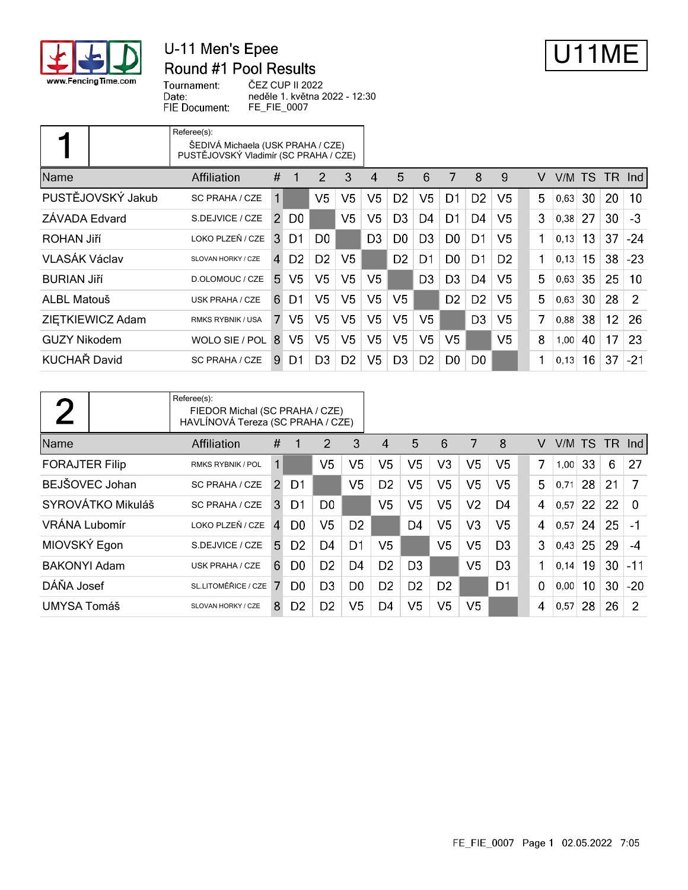

## U-11 Men's Epee Round #1 Pool Results



Tournament: Date: FIE Document: ČEZ CUP II 2022 neděle 1. května 2022 - 12:30 FE\_FIE\_0007

|                     | Referee(s):<br>ŠEDIVÁ Michaela (USK PRAHA / CZE)<br>PUSTĚJOVSKÝ Vladimír (SC PRAHA / CZE) |                |                |                |                |                |                |                |                |                |                |   |       |     |                 |       |
|---------------------|-------------------------------------------------------------------------------------------|----------------|----------------|----------------|----------------|----------------|----------------|----------------|----------------|----------------|----------------|---|-------|-----|-----------------|-------|
| <b>Name</b>         | Affiliation                                                                               | #              |                | $\overline{2}$ | 3              | 4              | 5              | 6              | 7              | 8              | 9              | V | V/M l | TS. | TR.             | -Ind  |
| PUSTĚJOVSKÝ Jakub   | SC PRAHA / CZE                                                                            | 1              |                | V <sub>5</sub> | V5             | V5             | D <sub>2</sub> | V <sub>5</sub> | D1             | D <sub>2</sub> | V5             | 5 | 0,63  | 30  | 20              | 10    |
| ZÁVADA Edvard       | S.DEJVICE / CZE                                                                           | $\overline{2}$ | D <sub>0</sub> |                | V <sub>5</sub> | V5             | D3             | D4             | D1             | D <sub>4</sub> | V <sub>5</sub> | 3 | 0,38  | 27  | 30              | $-3$  |
| ROHAN Jiří          | LOKO PLZEŇ / CZE                                                                          | 3              | D1             | D <sub>0</sub> |                | D <sub>3</sub> | D0             | D <sub>3</sub> | D <sub>0</sub> | D1             | V5             |   | 0,13  | 13  | 37              | $-24$ |
| VLASÁK Václav       | SLOVAN HORKY / CZE                                                                        | $\overline{4}$ | D <sub>2</sub> | D <sub>2</sub> | V <sub>5</sub> |                | D <sub>2</sub> | D <sub>1</sub> | D <sub>0</sub> | D1             | D <sub>2</sub> | 1 | 0,13  | 15  | 38              | $-23$ |
| <b>BURIAN Jiří</b>  | D.OLOMOUC / CZE                                                                           | 5.             | V <sub>5</sub> | V <sub>5</sub> | V5             | V5             |                | D <sub>3</sub> | D <sub>3</sub> | D4             | V5             | 5 | 0,63  | 35  | 25              | 10    |
| ALBL Matouš         | USK PRAHA / CZE                                                                           | 6              | D1             | V <sub>5</sub> | V <sub>5</sub> | V <sub>5</sub> | V5             |                | D <sub>2</sub> | D <sub>2</sub> | V5             | 5 | 0,63  | 30  | 28              | 2     |
| ZIETKIEWICZ Adam    | <b>RMKS RYBNIK / USA</b>                                                                  | 7              | V <sub>5</sub> | V <sub>5</sub> | V <sub>5</sub> | V5             | V <sub>5</sub> | V5             |                | D <sub>3</sub> | V5             | 7 | 0,88  | 38  | 12 <sup>2</sup> | 26    |
| <b>GUZY Nikodem</b> | WOLO SIE / POL                                                                            | 8              | V <sub>5</sub> | V <sub>5</sub> | V5             | V <sub>5</sub> | V <sub>5</sub> | V <sub>5</sub> | V <sub>5</sub> |                | V <sub>5</sub> | 8 | 1,00  | 40  | 17              | 23    |
| <b>KUCHAŘ David</b> | SC PRAHA / CZE                                                                            | 9              | D1             | D <sub>3</sub> | D <sub>2</sub> | V <sub>5</sub> | D <sub>3</sub> | D <sub>2</sub> | D <sub>0</sub> | D <sub>0</sub> |                | 1 | 0,13  | 16  | 37              | $-21$ |

 $\overline{\phantom{0}}$ 

|                       | Referee(s):<br>FIEDOR Michal (SC PRAHA / CZE)<br>HAVLÍNOVÁ Tereza (SC PRAHA / CZE) |    |                |                |                |                |                |                |                |                |          |      |           |     |       |
|-----------------------|------------------------------------------------------------------------------------|----|----------------|----------------|----------------|----------------|----------------|----------------|----------------|----------------|----------|------|-----------|-----|-------|
| Name                  | Affiliation                                                                        | #  |                | 2              | 3              | 4              | 5              | 6              | 7              | 8              | v        | V/M  | <b>TS</b> | TR. | Ind.  |
| <b>FORAJTER Filip</b> | <b>RMKS RYBNIK / POL</b>                                                           | 1  |                | V <sub>5</sub> | V5             | V <sub>5</sub> | V5             | V <sub>3</sub> | V5             | V5             | 7        | 1,00 | 33        | 6   | 27    |
| BEJŠOVEC Johan        | SC PRAHA / CZE                                                                     | 2  | D <sub>1</sub> |                | V5             | D <sub>2</sub> | V5             | V <sub>5</sub> | V5             | V5             | 5        | 0.71 | 28        | 21  | 7     |
| SYROVÁTKO Mikuláš     | SC PRAHA / CZE                                                                     | 3  | D <sub>1</sub> | D <sub>0</sub> |                | V5             | V5             | V <sub>5</sub> | V2             | D4             | 4        | 0,57 | 22        | 22  | 0     |
| VRÁNA Lubomír         | LOKO PLZEŇ / CZE                                                                   | 4  | D0             | V5.            | D <sub>2</sub> |                | D <sub>4</sub> | V <sub>5</sub> | V3             | V5             | 4        | 0.57 | 24        | 25  | $-1$  |
| MIOVSKÝ Egon          | S.DEJVICE / CZE                                                                    | 5. | D <sub>2</sub> | D4             | D1             | V5             |                | V <sub>5</sub> | V5             | D <sub>3</sub> | 3        | 0.43 | 25        | 29  | -4    |
| <b>BAKONYI Adam</b>   | USK PRAHA / CZE                                                                    | 6  | D0             | D <sub>2</sub> | D4             | D <sub>2</sub> | D <sub>3</sub> |                | V5             | D <sub>3</sub> | 1        | 0.14 | 19        | 30  | $-11$ |
| DÁŇA Josef            | SL.LITOMĚŘICE / CZE                                                                | 7  | D <sub>0</sub> | D <sub>3</sub> | D <sub>0</sub> | D <sub>2</sub> | D <sub>2</sub> | D <sub>2</sub> |                | D <sub>1</sub> | $\Omega$ | 0.00 | 10        | 30  | $-20$ |
| UMYSA Tomáš           | SLOVAN HORKY / CZE                                                                 | 8  | D <sub>2</sub> | D <sub>2</sub> | V5             | D4             | V5             | V <sub>5</sub> | V <sub>5</sub> |                | 4        | 0,57 | 28        | 26  | 2     |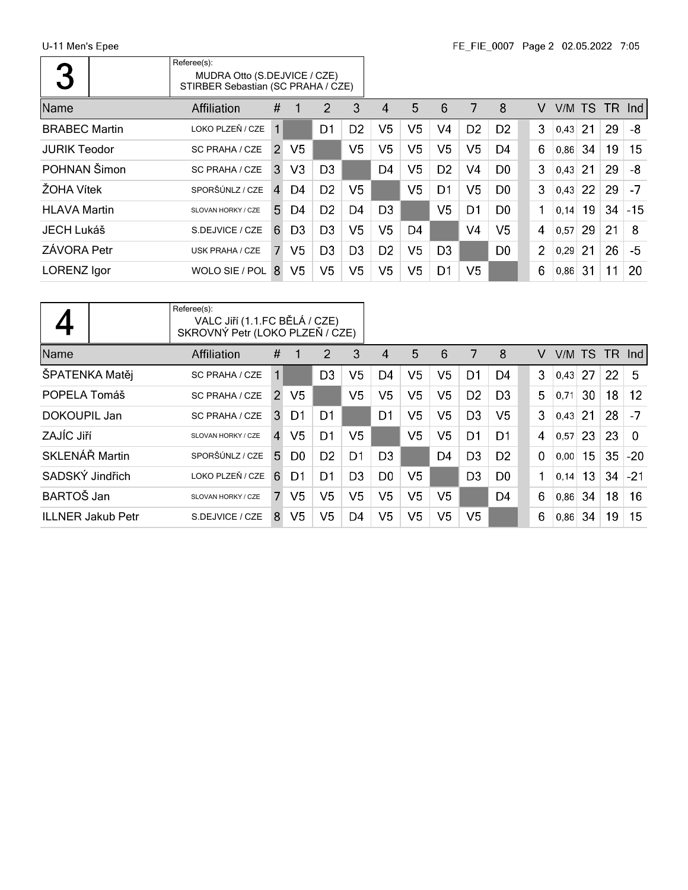| $\overline{\phantom{a}}$ | Referee(s):<br>MUDRA Otto (S.DEJVICE / CZE)<br>STIRBER Sebastian (SC PRAHA / CZE) |               |                |                |                |                        |    |                |                |                |                |      |     |     |       |
|--------------------------|-----------------------------------------------------------------------------------|---------------|----------------|----------------|----------------|------------------------|----|----------------|----------------|----------------|----------------|------|-----|-----|-------|
| Name                     | <b>Affiliation</b>                                                                | #             |                | 2              | 3              | $\boldsymbol{\Lambda}$ | 5  | 6              | 7              | 8              | v              | V/M  | TS. | TR. | -Ind  |
| <b>BRABEC Martin</b>     | LOKO PLZEŇ / CZE                                                                  | 1             |                | D1             | D <sub>2</sub> | V <sub>5</sub>         | V5 | V4             | D <sub>2</sub> | D <sub>2</sub> | 3              | 0,43 | 21  | 29  | -8    |
| <b>JURIK Teodor</b>      | SC PRAHA / CZE                                                                    | $\mathcal{P}$ | V5             |                | V <sub>5</sub> | V5                     | V5 | V <sub>5</sub> | V <sub>5</sub> | D4             | 6              | 0,86 | 34  | 19  | 15    |
| POHNAN Šimon             | SC PRAHA / CZE                                                                    | 3             | V3             | D <sub>3</sub> |                | D4                     | V5 | D <sub>2</sub> | V4             | D <sub>0</sub> | 3              | 0,43 | 21  | 29  | -8    |
| ŽOHA Vítek               | SPORŠÚNLZ / CZE                                                                   | 4             | D4             | D <sub>2</sub> | V5             |                        | V5 | D1             | V <sub>5</sub> | D <sub>0</sub> | 3              | 0,43 | 22  | 29  | $-7$  |
| <b>HLAVA Martin</b>      | SLOVAN HORKY / CZE                                                                | 5.            | D <sub>4</sub> | D <sub>2</sub> | D <sub>4</sub> | D <sub>3</sub>         |    | V <sub>5</sub> | D1             | D <sub>0</sub> |                | 0,14 | 19  | 34  | $-15$ |
| JECH Lukáš               | S.DEJVICE / CZE                                                                   | 6             | D <sub>3</sub> | D <sub>3</sub> | V5             | V <sub>5</sub>         | D4 |                | V4             | V5             | 4              | 0,57 | 29  | 21  | 8     |
| ZÁVORA Petr              | <b>USK PRAHA / CZE</b>                                                            | 7             | V5             | D <sub>3</sub> | D <sub>3</sub> | D <sub>2</sub>         | V5 | D <sub>3</sub> |                | D <sub>0</sub> | $\overline{2}$ | 0,29 | 21  | 26  | -5    |
| <b>LORENZ</b> Igor       | WOLO SIE / POL                                                                    | 8             | V <sub>5</sub> | V <sub>5</sub> | V5             | V <sub>5</sub>         | V5 | D <sub>1</sub> | V5             |                | 6              | 0,86 | 31  | 11  | 20    |

|                          | Referee(s):<br>VALC JIří (1.1.FC BĚLÁ / CZE)<br>SKROVNÝ Petr (LOKO PLZEŇ / ĆZE) |                |                |                |                |                |                |                |                |                |                |       |                 |     |          |
|--------------------------|---------------------------------------------------------------------------------|----------------|----------------|----------------|----------------|----------------|----------------|----------------|----------------|----------------|----------------|-------|-----------------|-----|----------|
| Name                     | Affiliation                                                                     | #              |                | 2              | 3              | 4              | 5              | 6              | 7              | 8              | V              | V/M   | TS.             | TR. | -Ind-I   |
| ŠPATENKA Matěj           | <b>SC PRAHA / CZE</b>                                                           | 1              |                | D <sub>3</sub> | V5             | D4             | V5             | V <sub>5</sub> | D1             | D <sub>4</sub> | 3              | 0,43  | 27              | 22  | 5        |
| POPELA Tomáš             | <b>SC PRAHA / CZE</b>                                                           | $\mathcal{P}$  | V <sub>5</sub> |                | V <sub>5</sub> | V <sub>5</sub> | V5             | V <sub>5</sub> | D <sub>2</sub> | D <sub>3</sub> | 5.             | 0.71  | 30              | 18  | 12       |
| DOKOUPIL Jan             | SC PRAHA / CZE                                                                  | 3              | D <sub>1</sub> | D1             |                | D1             | V5             | V5             | D <sub>3</sub> | V <sub>5</sub> | 3              | 0.43  | 21              | 28  | $-7$     |
| ZAJÍC Jiří               | SLOVAN HORKY / CZE                                                              | $\overline{A}$ | V <sub>5</sub> | D1             | V5             |                | V <sub>5</sub> | V <sub>5</sub> | D1             | D1             | $\overline{4}$ | 0.57  | 23              | 23  | $\Omega$ |
| SKLENÁŘ Martin           | SPORŠÚNLZ / CZE                                                                 | 5              | D <sub>0</sub> | D <sub>2</sub> | D1             | D <sub>3</sub> |                | D4             | D3             | D <sub>2</sub> | $\Omega$       | 0.00  | 15 <sub>1</sub> | 35  | $-20$    |
| SADSKÝ Jindřich          | LOKO PLZEŇ / CZE                                                                | 6              | D1             | D1             | D <sub>3</sub> | D <sub>0</sub> | V5             |                | D <sub>3</sub> | D <sub>0</sub> | 1              | 0, 14 | 13              | 34  | $-21$    |
| BARTOŠ Jan               | SLOVAN HORKY / CZE                                                              | 7              | V <sub>5</sub> | V5             | V <sub>5</sub> | V <sub>5</sub> | V5             | V <sub>5</sub> |                | D4             | 6              | 0.86  | 34              | 18  | 16       |
| <b>ILLNER Jakub Petr</b> | S.DEJVICE / CZE                                                                 | 8              | V5             | V5             | D4             | V5             | V5             | V5             | V <sub>5</sub> |                | 6              | 0,86  | 34              | 19  | 15       |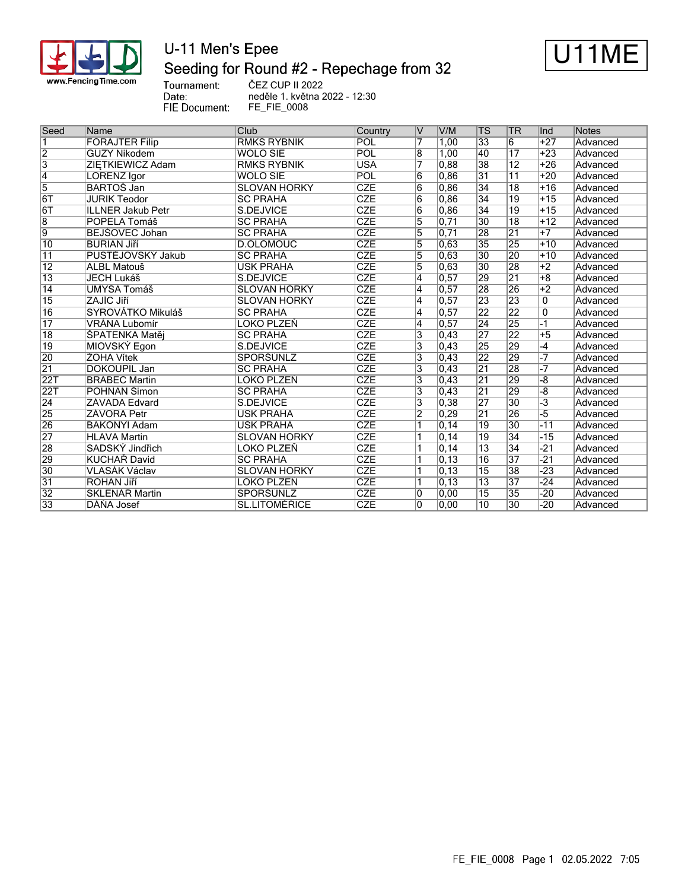

# U-11 Men's Epee Seeding for Round #2 - Repechage from 32



Tournament: Date: FIE Document: ČEZ CUP II 2022 neděle 1. května 2022 - 12:30 FE\_FIE\_0008

| Seed            | Name                     | Club                 | Country                 | V              | V/M                | <b>TS</b>       | <b>TR</b>       | llnd                           | Notes    |
|-----------------|--------------------------|----------------------|-------------------------|----------------|--------------------|-----------------|-----------------|--------------------------------|----------|
| 1               | <b>FORAJTER Filip</b>    | <b>RMKS RYBNIK</b>   | POL                     | 7              | 1,00               | 33              | 6               | $+27$                          | Advanced |
| $\overline{2}$  | <b>GUZY Nikodem</b>      | <b>WOLO SIE</b>      | POL                     | 8              | 1,00               | 40              | $\overline{17}$ | $+23$                          | Advanced |
| $\overline{3}$  | ZIETKIEWICZ Adam         | <b>RMKS RYBNIK</b>   | <b>USA</b>              | 7              | 0,88               | 38              | $\overline{12}$ | $+26$                          | Advanced |
| $\overline{4}$  | <b>LORENZ Igor</b>       | <b>WOLO SIE</b>      | POL                     | 6              | 0.86               | $\overline{31}$ | $\overline{11}$ | $+20$                          | Advanced |
| $\overline{5}$  | <b>BARTOS Jan</b>        | <b>SLOVAN HORKY</b>  | CZE                     | $\overline{6}$ | 0,86               | $\overline{34}$ | $\overline{18}$ | $+16$                          | Advanced |
| 6T              | <b>JURIK Teodor</b>      | <b>SC PRAHA</b>      | CZE                     | $\overline{6}$ | 0,86               | 34              | 19              | $+15$                          | Advanced |
| 6T              | <b>ILLNER Jakub Petr</b> | S.DEJVICE            | CZE                     | 6              | 0,86               | 34              | 19              | $+15$                          | Advanced |
| $\overline{8}$  | POPELA Tomáš             | <b>SC PRAHA</b>      | <b>CZE</b>              | $\overline{5}$ | 0,71               | $\overline{30}$ | $\overline{18}$ | $+12$                          | Advanced |
| $\overline{9}$  | BEJŠOVEC Johan           | <b>SC PRAHA</b>      | <b>CZE</b>              | 5              | 0.71               | 28              | $\overline{21}$ | $+7$                           | Advanced |
| $\overline{10}$ | <b>BURIAN Jiří</b>       | D.OLOMOUC            | <b>CZE</b>              | $\overline{5}$ | 0,63               | 35              | 25              | $+10$                          | Advanced |
| $\overline{11}$ | PUSTĚJOVSKÝ Jakub        | <b>SC PRAHA</b>      | CZE                     | $\overline{5}$ | 0,63               | $\overline{30}$ | 20              | $+10$                          | Advanced |
| $\overline{12}$ | <b>ALBL Matouš</b>       | <b>USK PRAHA</b>     | CZE                     | 5              | $\overline{0,63}$  | $\overline{30}$ | 28              | $+2$                           | Advanced |
| $\overline{13}$ | <b>JECH Lukáš</b>        | S.DEJVICE            | $\overline{\text{CZE}}$ | $\overline{4}$ | 0,57               | 29              | $\overline{21}$ | $+8$                           | Advanced |
| $\overline{14}$ | <b>UMYSA Tomáš</b>       | <b>SLOVAN HORKY</b>  | CZE                     | 4              | 0.57               | 28              | 26              | $+2$                           | Advanced |
| $\overline{15}$ | ZAJÍC Jiří               | <b>SLOVAN HORKY</b>  | <b>CZE</b>              | 4              | 0, 57              | 23              | 23              | $\Omega$                       | Advanced |
| $\overline{16}$ | SYROVÁTKO Mikuláš        | <b>SC PRAHA</b>      | CZE                     | 4              | 0, 57              | 22              | 22              | 0                              | Advanced |
| $\overline{17}$ | VRÁNA Lubomír            | LOKO PLZEŇ           | <b>CZE</b>              | 4              | 0, 57              | $\overline{24}$ | $\overline{25}$ | -1                             | Advanced |
| $\overline{18}$ | ŠPATENKA Matěj           | <b>SC PRAHA</b>      | <b>CZE</b>              | 3              | 0,43               | 27              | 22              | $+5$                           | Advanced |
| $\overline{19}$ | MIOVSKÝ Egon             | S.DEJVICE            | <b>CZE</b>              | 3              | 0,43               | 25              | 29              | $-4$                           | Advanced |
| 20              | ŽOHA Vítek               | SPORŠÚNLZ            | <b>CZE</b>              | 3              | 0,43               | 22              | 29              | $-7$                           | Advanced |
| $\overline{21}$ | <b>DOKOUPIL Jan</b>      | <b>SC PRAHA</b>      | <b>CZE</b>              | 3              | 0,43               | $\overline{21}$ | 28              | $\overline{\overline{\cdot7}}$ | Advanced |
| 22T             | <b>BRABEC Martin</b>     | LOKO PLZEŇ           | <b>CZE</b>              | 3              | 0,43               | $\overline{21}$ | 29              | $\overline{-8}$                | Advanced |
| 22T             | POHNAN Šimon             | <b>SC PRAHA</b>      | $\overline{\text{CZE}}$ | $\overline{3}$ | 0,43               | $\overline{21}$ | 29              | $\overline{-8}$                | Advanced |
| $\overline{24}$ | ZÁVADA Edvard            | S.DEJVICE            | <b>CZE</b>              | $\overline{3}$ | 0,38               | $\overline{27}$ | $\overline{30}$ | $\overline{-3}$                | Advanced |
| $\overline{25}$ | <b>ZÁVORA Petr</b>       | <b>USK PRAHA</b>     | <b>CZE</b>              | $\overline{2}$ | $ 0,29\rangle$     | $\overline{21}$ | 26              | -5                             | Advanced |
| $\overline{26}$ | <b>BAKONYI Adam</b>      | <b>USK PRAHA</b>     | <b>CZE</b>              | ₹              | 0, 14              | 19              | 30              | $-11$                          | Advanced |
| $\overline{27}$ | <b>HLAVA Martin</b>      | <b>SLOVAN HORKY</b>  | <b>CZE</b>              |                | 0, 14              | $\overline{19}$ | $\overline{34}$ | $-15$                          | Advanced |
| $\overline{28}$ | SADSKÝ Jindřich          | LOKO PLZEŇ           | <b>CZE</b>              |                | 0, 14              | $\overline{13}$ | $\overline{34}$ | $-21$                          | Advanced |
| $\overline{29}$ | <b>KUCHAŘ David</b>      | <b>SC PRAHA</b>      | <b>CZE</b>              |                | $\overline{0, 13}$ | $\overline{16}$ | $\overline{37}$ | $-21$                          | Advanced |
| $\overline{30}$ | VLASÁK Václav            | <b>SLOVAN HORKY</b>  | CZE                     | 1              | 0,13               | $\overline{15}$ | 38              | $-23$                          | Advanced |
| $\overline{31}$ | <b>ROHAN Jiří</b>        | LOKO PLZEŇ           | CZE                     | ٦              | 0, 13              | $\overline{13}$ | $\overline{37}$ | $-24$                          | Advanced |
| $\overline{32}$ | <b>SKLENÁŘ Martin</b>    | SPORŠÚNLZ            | CZE                     | 0              | 0,00               | $\overline{15}$ | $\overline{35}$ | $-20$                          | Advanced |
| $\overline{33}$ | DÁŇA Josef               | <b>SL.LITOMĚŘICE</b> | <b>CZE</b>              | 0              | 0,00               | $\overline{10}$ | $\overline{30}$ | $-20$                          | Advanced |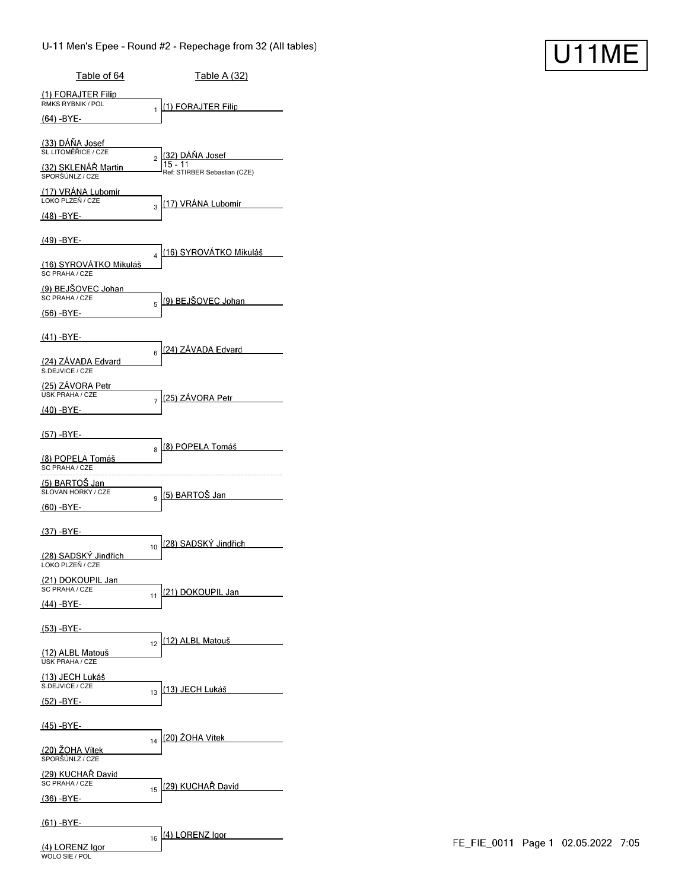| Table of 64                                | <u>Table A (32)</u>                                      |
|--------------------------------------------|----------------------------------------------------------|
| (1) FORAJTER Filip<br>RMKS RYBNIK / POL    | (1) FORAJTER Filip                                       |
| (64) -BYE-                                 | 1                                                        |
| (33) DÁŇA Josef<br>SL LITOMĚŘICE / CZE     | (32) DÁŇA Josef                                          |
| (32) SKLENAR Martin<br>SPORŠÚNLZ / CZE     | $\overline{c}$<br>Ref: STIRBER Sebastian (CZE)           |
| (17) VRÁNA Lubomír<br>LOKO PLZEŇ / CZE     | <u>(17) VRÁNA Lubomír</u>                                |
| (48) -BYE-                                 | 3                                                        |
| (49) -BYE-                                 |                                                          |
| (16) SYROVÁTKO Mikuláš<br>SC PRAHA / CZE   | <u>(16) SYROVÁTKO Mikuláš</u><br>$\overline{\mathbf{4}}$ |
| (9) BEJSOVEC Johan<br>SC PRAHA / CZE       | (9) BEJŠOVEC Johan<br>5                                  |
| $(56) - BYE -$                             |                                                          |
| (41) -BYE-                                 |                                                          |
| (24) ZÁVADA Edvard<br>S.DEJVICE / CZE      | (24) ZÁVADA Edvard<br>6                                  |
| (25) ZÁVORA Petr<br>USK PRAHA / CZE        | (25) ZÁVORA Petr<br>7                                    |
| (40) -BYE-                                 |                                                          |
| <u>(57) -BYE-</u>                          | (8) POPELA Tomáš<br>8                                    |
| (8) POPELA Tomáš<br>SC PRAHA / CZE         |                                                          |
| (5) BARTOŠ Jan<br>SLOVAN HORKY / CZE       | (5) BARTOŠ Jan<br>9                                      |
| <u>(60) -BYE-</u>                          |                                                          |
| (37) -BYE-                                 | (28) SADSKÝ Jindřich                                     |
| (28) SADSKÝ Jindřich<br>LOKO PLZEŇ / CZE   | 10                                                       |
| <u>(21) DOKOUPIL Jan</u><br>SC PRAHA / CZE | (21) DOKOUPIL Jan                                        |
| (44) -BYE-                                 | 11                                                       |
| (53) -BYE-                                 | (12) ALBL Matouš                                         |
| (12) ALBL Matouš<br><b>USK PRAHA / CZE</b> | 12                                                       |
| (13) JECH Lukáš<br>S.DEJVICE / CZE         | <u>(13) JECH Lukáš </u>                                  |
| (52) -BYE-                                 | 13                                                       |
| <u>(45) -BYE-</u>                          |                                                          |
| (20) ŽOHA Vítek<br>SPORŠÚNLZ / CZE         | (20) ŽOHA Vítek<br>14                                    |
| (29) KUCHAR David<br>SC PRAHA / CZE        |                                                          |
| $(36) - BYE -$                             | (29) KUCHAŘ David<br>15                                  |
| $(61) - BYE -$                             |                                                          |
| (4) LORENZ Igor<br>WOLO SIE / POL          | (4) LORENZ Igor<br>16                                    |

U11ME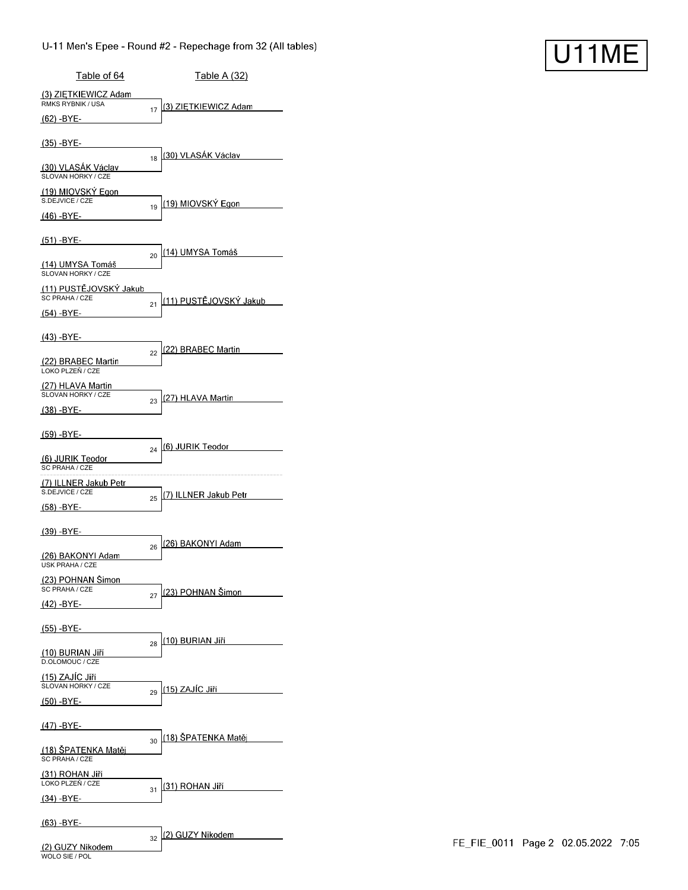| Table of 64                                      | Table A (32)                         |
|--------------------------------------------------|--------------------------------------|
| (3) ZIETKIEWICZ Adam<br><b>RMKS RYBNIK / USA</b> | (3) ZIĘTKIEWICZ Adam                 |
| $(62) - BYE-$                                    | 17                                   |
| <u>(35) -BYE-</u>                                |                                      |
| (30) VLASÁK Václav<br>SLOVAN HORKY / CZE         | (30) VLASAK Václav<br>18             |
| (19) MIOVSKÝ Egon<br>S.DEJVICE / CZE             | (19) MIOVSKÝ Egon                    |
| (46) -BYE-                                       | 19                                   |
| $(51) - BYE -$                                   |                                      |
| (14) UMYSA Tomáš<br>SLOVAN HORKY / CZE           | <u> (14) UMYSA Tomáš</u><br>20       |
| (11) PUSTÉJOVSKÝ Jakub<br>SC PRAHA / CZE         |                                      |
| (54) -BYE-                                       | <u>(11) PUSTĚJOVSKÝ Jakub_</u><br>21 |
| (43) -BYE-                                       |                                      |
| (22) BRABEC Martin<br>LOKO PLZEŇ / CZE           | <u>(22) BRABEC Martin</u><br>22      |
| (27) HLAVA Martin<br>SLOVAN HORKY / CZE          |                                      |
| (38) -BYE-                                       | (27) HLAVA Martin<br>23              |
| (59) -BYE-                                       |                                      |
| (6) JURIK Teodor<br>SC PRAHA / CZE               | (6) JURIK Teodor<br>24               |
| (7) ILLNER Jakub Petr<br>S.DEJVICE / CZE         |                                      |
| (58) -BYE-                                       | <u>(7) ILLNER Jakub Petr</u><br>25   |
| (39) -BYE-                                       |                                      |
| <u>(26) BAKONYI Adam</u>                         | l(26) BAKONYI Adam<br>26             |
| USK PRAHA / CZE<br>(23) POHNAN Šimon             |                                      |
| SC PRAHA / CZE<br>(42) -BYE-                     | (23) POHNAN Šimon<br>27              |
| <u>(55) -BYE-</u>                                |                                      |
|                                                  | (10) BURIAN Jiří<br>28               |
| (10) BURIAN Jiří<br>D.OLOMOUC / CZE              |                                      |
| (15) ZAJÍC Jiří<br>SLOVAN HORKY / CZE            | <u>(15) ZAJÍC Jiří –</u><br>29       |
| (50) -BYE-                                       |                                      |
| <u>(47) -BYE-</u>                                | <u>(18) ŠPATENKA Matěj</u><br>30     |
| <u>(18) ŠPATENKA Matěj</u><br>SC PRAHA / CZE     |                                      |
| (31) ROHAN Jiří<br>LOKO PLZEŇ / CZE              | (31) ROHAN Jiří                      |
| $(34)$ -BYE-                                     | 31                                   |
| (63) -BYE-                                       |                                      |
|                                                  | (2) GUZY Nikodem<br>32               |

WOLO SIE / POL

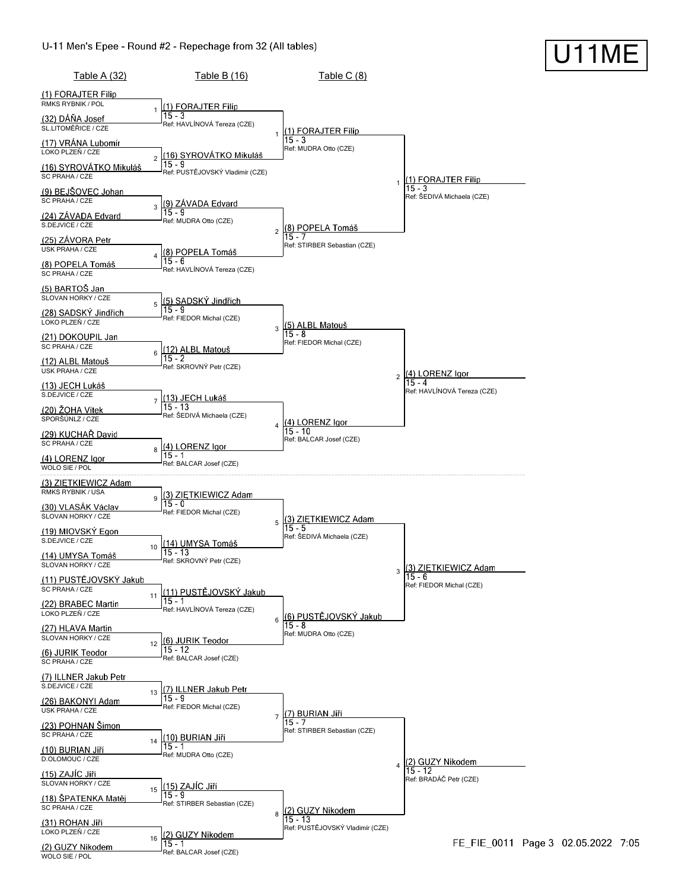WOLO SIE / POL



**U11ME**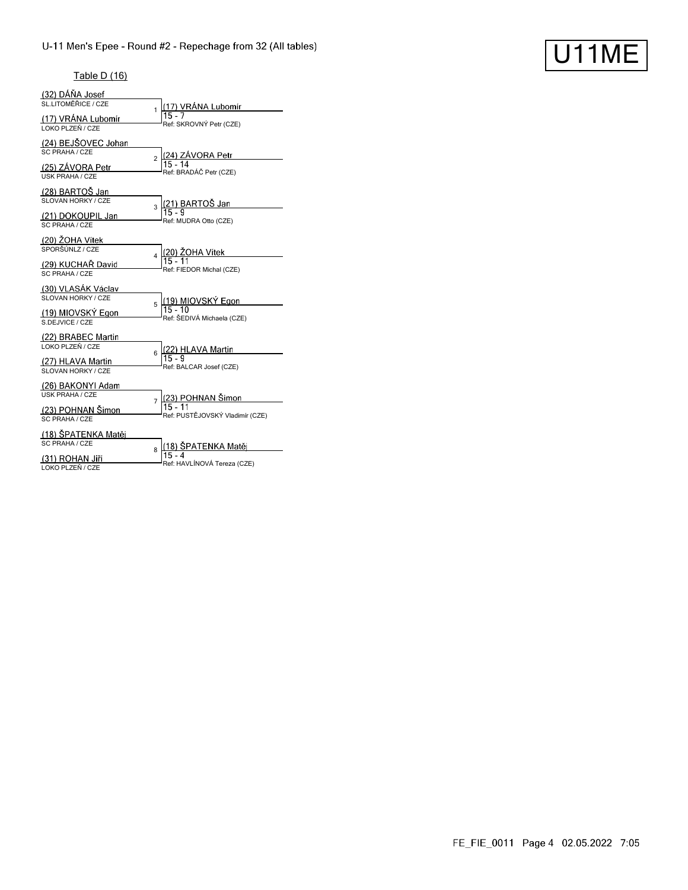# U11ME

## Table D (16)

| (32) DÁŇA Josef<br>SL.LITOMĚŘICE / CZE<br>(17) VRÁNA Lubomír                      | 1              | (17) VRÁNA Lubomír                                             |
|-----------------------------------------------------------------------------------|----------------|----------------------------------------------------------------|
| LOKO PLZEŇ / CZE<br>(24) BEJŠOVEC Johan<br>SC PRAHA / CZE                         |                | Ref: SKROVNÝ Petr (CZE)                                        |
| (25) ZÁVORA Petr<br><b>USK PRAHA / CZE</b>                                        | $\overline{a}$ | (24) ZAVORA Petr<br>Ref: BRADÁČ Petr (CZE)                     |
| (28) BARTOŠ Jan<br>SLOVAN HORKY / CZE<br>(21) DOKOUPIL Jan                        | 3              | (21) BARTOŠ Jan<br>15 - 9<br>Ref: MUDRA Otto (CZE)             |
| SC PRAHA / CZE<br>(20) ŽOHA Vítek<br>SPORŠÚNLZ / CZE                              | 4              | <u>(20) ŽOHA Vítek</u><br>15 - 11                              |
| (29) KUCHAŘ David<br>SC PRAHA / CZE<br>(30) VLASÁK Václav<br>SLOVAN HORKY / CZE   |                | Ref: FIEDOR Michal (CZE)                                       |
| (19) MIOVSKÝ Egon<br>S.DEJVICE / CZE                                              | 5              | (19) MIOVSKÝ Egon<br>$15 - 10$<br>Ref: ŠEDIVÁ Michaela (CZE)   |
| (22) BRABEC Martin<br>LOKO PLZEŇ / CZE<br>(27) HLAVA Martin<br>SLOVAN HORKY / CZE | 6              | (22) HLAVA Martin<br>Ref: BALCAR Josef (CZE)                   |
| (26) BAKONYI Adam<br><b>USK PRAHA / CZE</b>                                       | $\overline{7}$ | (23) POHNAN Šimon<br>$15 - 11$                                 |
| (23) POHNAN Šimon<br>SC PRAHA / CZE<br>(18) ŠPATENKA Matěj<br>SC PRAHA / CZE      |                | Ref: PUSTĚJOVSKÝ Vladimír (CZE)                                |
| (31) ROHAN Jiří<br>LOKO PLZEŇ / CZE                                               | 8              | (18) ŠPATENKA Matěj<br>$15 - 4$<br>Ref: HAVLÍNOVÁ Tereza (CZE) |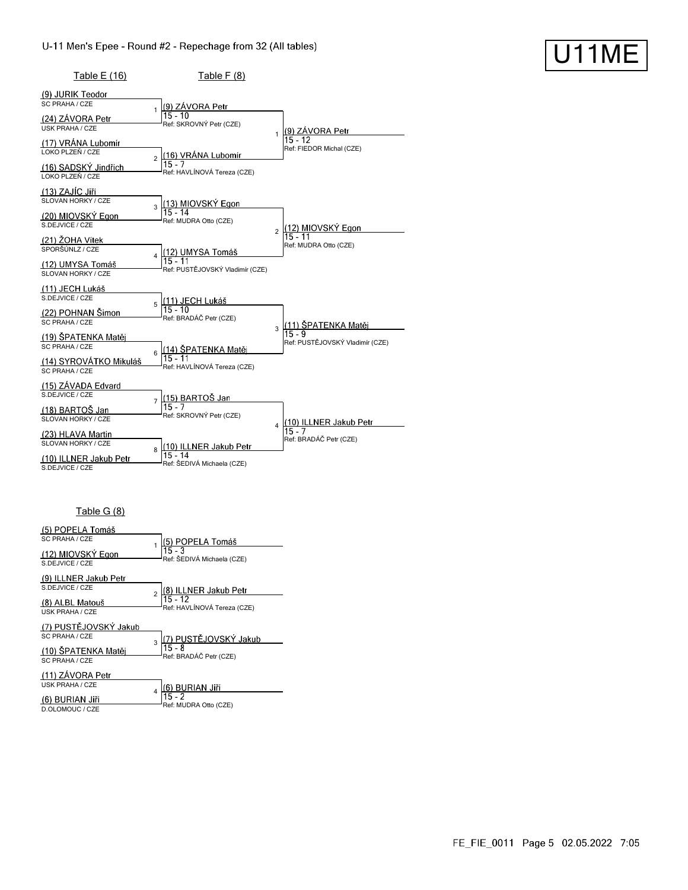| Table E (16)                                                                                            | Table $F(8)$                                                                    |                                                |
|---------------------------------------------------------------------------------------------------------|---------------------------------------------------------------------------------|------------------------------------------------|
| (9) JURIK Teodor<br>SC PRAHA / CZE<br>(24) ZÁVORA Petr<br><b>USK PRAHA / CZE</b>                        | (9) ZÁVORA Petr<br>$15 - 10$<br>Ref: SKROVNÝ Petr (CZE)                         | (9) ZÁVORA Petr<br>1                           |
| (17) VRÁNA Lubomír<br>LOKO PLZEŇ / CZE<br>(16) SADSKÝ Jindřich<br>LOKO PLZEŇ / CZE                      | (16) VRÁNA Lubomír<br>$\mathfrak{p}$<br>$15 - 7$<br>Ref: HAVLÍNOVÁ Tereza (CZE) | $15 - 12$<br>Ref: FIEDOR Michal (CZE)          |
| <u>(13) ZAJÍC Jiří</u><br>SLOVAN HORKY / CZE<br>(20) MIOVSKÝ Egon<br>S.DEJVICE / CZE<br>(21) ŽOHA Vítek | (13) MIOVSKÝ Egon<br>15 - 14<br>$\overline{3}$<br>Ref: MUDRA Otto (CZE)         | (12) MIOVSKÝ Egon<br>15 - 11<br>$\overline{2}$ |
| SPORŠÚNLZ / CZE<br>(12) UMYSA Tomáš<br>SLOVAN HORKY / CZE<br><u>(11) JECH Lukáš</u>                     | (12) UMYSA Tomáš<br>4<br>$15 - 11$<br>Ref: PUSTĚJOVSKÝ Vladimír (CZE)           | Ref: MUDRA Otto (CZE)                          |
| S.DEJVICE / CZE<br>(22) POHNAN Šimon<br>SC PRAHA / CZE<br>(19) ŠPATENKA Matěj                           | <u>(11) JECH Lukáš</u><br>5<br>$15 - 10$<br>Ref: BRADÁČ Petr (CZE)              | (11) ŠPATENKA Matěj<br>3<br>15 - 9             |
| SC PRAHA / CZE<br>(14) SYROVÁTKO Mikuláš<br>SC PRAHA / CZE                                              | <u>(14) SPATENKA M</u> atěj<br>6<br>Ref: HAVLÍNOVÁ Tereza (CZE)                 | Ref: PUSTĚJOVSKÝ Vladimír (CZE)                |
| (15) ZAVADA Edvard<br>S.DEJVICE / CZE<br>(18) BARTOŠ Jan<br>SLOVAN HORKY / CZE                          | <u>(15) BARTOŠ Jan</u><br>$\overline{7}$<br>$15 - 7$<br>Ref: SKROVNÝ Petr (CZE) | (10) ILLNER Jakub Petr<br>4<br>$15 - 7$        |
| (23) HLAVA Martin<br>SLOVAN HORKY / CZE<br>(10) ILLNER Jakub Petr<br>S.DEJVICE / CZE                    | (10) ILLNER Jakub Petr<br>8<br>15 - 14<br>Ref: ŠEDIVÁ Michaela (CZE)            | Ref: BRADÁČ Petr (CZE)                         |

### Table G (8)

| (5) POPELA Tomáš                          |                                          |
|-------------------------------------------|------------------------------------------|
| SC PRAHA / CZE                            | (5) POPELA Tomáš                         |
| (12) MIOVSKÝ Egon<br>S.DEJVICE / CZE      | $15 - 3$<br>Ref: ŠEDIVÁ Michaela (CZE)   |
| (9) ILLNER Jakub Petr                     |                                          |
| S.DE.JVICE / CZE                          | (8) ILLNER Jakub Petr                    |
| (8) ALBL Matouš<br><b>USK PRAHA / CZE</b> | $15 - 12$<br>Ref: HAVLÍNOVÁ Tereza (CZE) |
| (7) PUSTĚJOVSKÝ Jakub                     |                                          |
| SC PRAHA / CZE                            | 7) PUSTĚJOVSKÝ Jakub<br>3                |
| (10) ŠPATENKA Matěj                       | $15 - 8$                                 |
| SC PRAHA / CZE                            | Ref: BRADÁČ Petr (CZE)                   |
| (11) ZÁVORA Petr                          |                                          |
| <b>USK PRAHA / CZE</b>                    | (6) BURIAN Jiří                          |
| (6) BURIAN Jiří                           | $15 - 2$                                 |
| D.OLOMOUC / CZE                           | Ref: MUDRA Otto (CZE)                    |

U11ME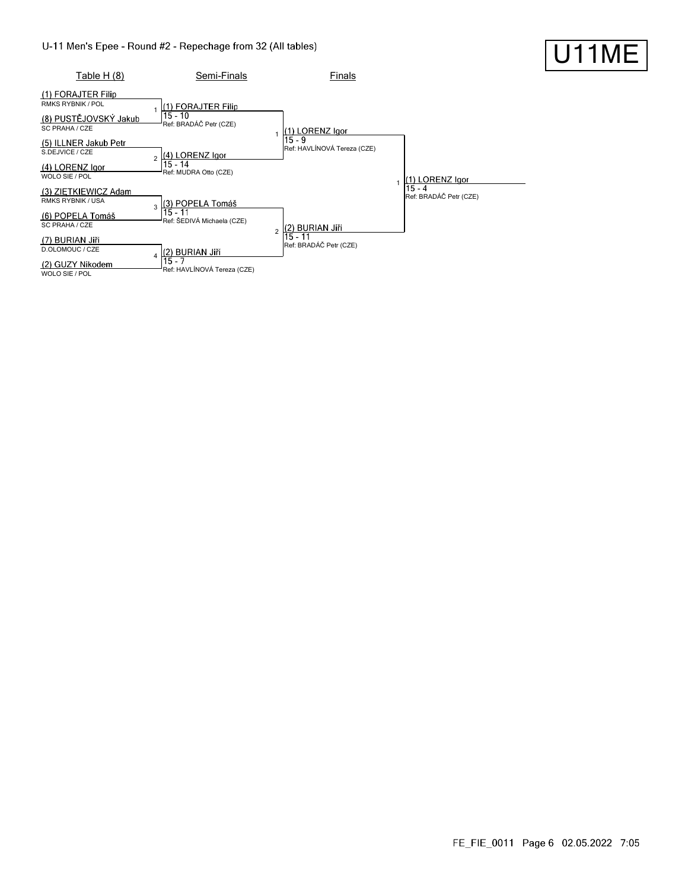

#### FE\_FIE\_0011 Page 6 02.05.2022 7:05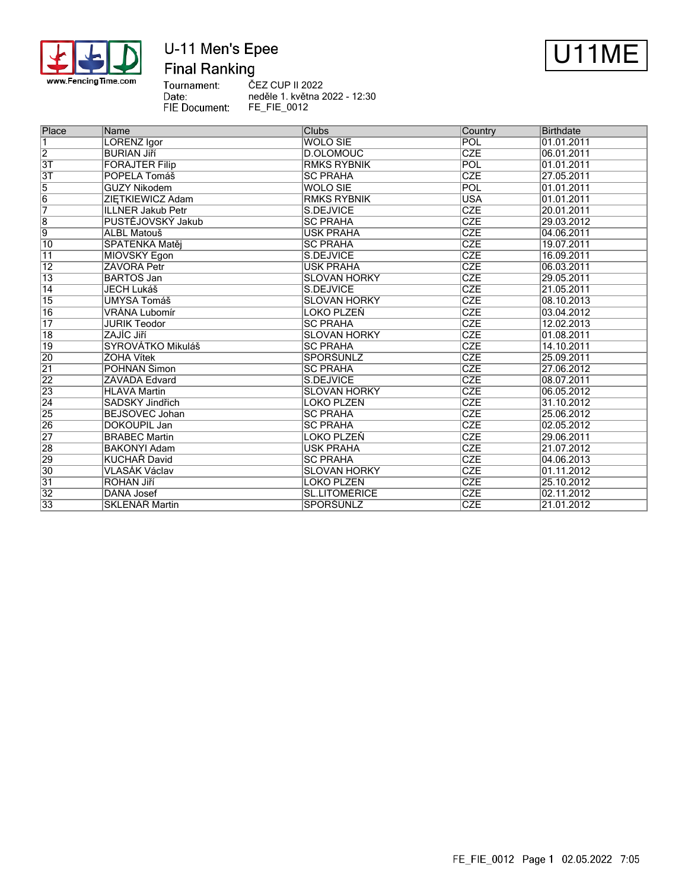

# U-11 Men's Epee **Final Ranking**



Tournament: Date: FIE Document:

ČEZ CUP II 2022 neděle 1. května 2022 - 12:30 FE\_FIE\_0012

| Place           | Name                     | <b>Clubs</b>         | Country                 | Birthdate  |
|-----------------|--------------------------|----------------------|-------------------------|------------|
| 1               | <b>LORENZ Igor</b>       | <b>WOLO SIE</b>      | POL                     | 01.01.2011 |
| $\overline{2}$  | <b>BURIAN Jiří</b>       | D.OLOMOUC            | <b>CZE</b>              | 06.01.2011 |
| $\overline{3T}$ | <b>FORAJTER Filip</b>    | <b>RMKS RYBNIK</b>   | POL                     | 01.01.2011 |
| 3T              | POPELA Tomáš             | <b>SC PRAHA</b>      | CZE                     | 27.05.2011 |
| $\overline{5}$  | <b>GUZY Nikodem</b>      | WOLO SIE             | POL                     | 01.01.2011 |
| $\overline{6}$  | ZIETKIEWICZ Adam         | <b>RMKS RYBNIK</b>   | <b>USA</b>              | 01.01.2011 |
| $\overline{7}$  | <b>ILLNER Jakub Petr</b> | S.DEJVICE            | <b>CZE</b>              | 20.01.2011 |
| $\overline{8}$  | PUSTĚJOVSKÝ Jakub        | <b>SC PRAHA</b>      | <b>CZE</b>              | 29.03.2012 |
| $\overline{9}$  | ALBL Matouš              | <b>USK PRAHA</b>     | <b>CZE</b>              | 04.06.2011 |
| 10              | ŠPATENKA Matěj           | <b>SC PRAHA</b>      | <b>CZE</b>              | 19.07.2011 |
| $\overline{11}$ | MIOVSKÝ Egon             | S.DEJVICE            | <b>CZE</b>              | 16.09.2011 |
| $\overline{12}$ | ZÁVORA Petr              | <b>USK PRAHA</b>     | <b>CZE</b>              | 06.03.2011 |
| $\overline{13}$ | <b>BARTOS Jan</b>        | SLOVAN HORKY         | <b>CZE</b>              | 29.05.2011 |
| $\overline{14}$ | <b>JECH Lukáš</b>        | S.DEJVICE            | <b>CZE</b>              | 21.05.2011 |
| $\overline{15}$ | <b>UMYSA Tomáš</b>       | <b>SLOVAN HORKY</b>  | CZE                     | 08.10.2013 |
| $\overline{16}$ | VRÁNA Lubomír            | LOKO PLZEŇ           | <b>CZE</b>              | 03.04.2012 |
| $\overline{17}$ | <b>JURIK Teodor</b>      | <b>SC PRAHA</b>      | CZE                     | 12.02.2013 |
| 18              | ZAJÍC Jiří               | <b>ISLOVAN HORKY</b> | <b>CZE</b>              | 01.08.2011 |
| $\overline{19}$ | SYROVÁTKO Mikuláš        | <b>ISC PRAHA</b>     | <b>CZE</b>              | 14.10.2011 |
| 20              | ŽOHA Vítek               | <b>SPORŠÚNLZ</b>     | <b>CZE</b>              | 25.09.2011 |
| $\overline{21}$ | POHNAN Šimon             | <b>SC PRAHA</b>      | <b>CZE</b>              | 27.06.2012 |
| $\overline{22}$ | ZÁVADA Edvard            | S.DEJVICE            | <b>CZE</b>              | 08.07.2011 |
| 23              | <b>HLAVA Martin</b>      | SLOVAN HORKY         | $\overline{\text{CZE}}$ | 06.05.2012 |
| $\overline{24}$ | SADSKÝ Jindřich          | LOKO PLZEŇ           | <b>CZE</b>              | 31.10.2012 |
| 25              | BEJŠOVEC Johan           | <b>SC PRAHA</b>      | <b>CZE</b>              | 25.06.2012 |
| 26              | DOKOUPIL Jan             | <b>SC PRAHA</b>      | <b>CZE</b>              | 02.05.2012 |
| 27              | <b>BRABEC Martin</b>     | LOKO PLZEŇ           | <b>CZE</b>              | 29.06.2011 |
| 28              | <b>BAKONYI Adam</b>      | <b>USK PRAHA</b>     | <b>CZE</b>              | 21.07.2012 |
| 29              | KUCHAŘ David             | <b>ISC PRAHA</b>     | <b>CZE</b>              | 04.06.2013 |
| 30              | VLASÁK Václav            | <b>ISLOVAN HORKY</b> | <b>CZE</b>              | 01.11.2012 |
| $\overline{31}$ | <b>ROHAN Jiří</b>        | LOKO PLZEŇ           | CZE                     | 25.10.2012 |
| $\overline{32}$ | DÁŇA Josef               | SL.LITOMĚŘICE        | <b>CZE</b>              | 02.11.2012 |
| $\overline{33}$ | <b>SKLENÁŘ Martin</b>    | <b>SPORŠÚNLZ</b>     | <b>CZE</b>              | 21.01.2012 |